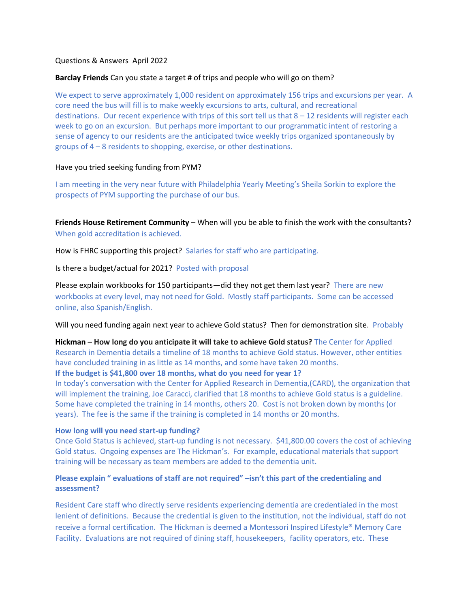## Questions & Answers April 2022

## **Barclay Friends** Can you state a target # of trips and people who will go on them?

We expect to serve approximately 1,000 resident on approximately 156 trips and excursions per year. A core need the bus will fill is to make weekly excursions to arts, cultural, and recreational destinations. Our recent experience with trips of this sort tell us that 8 – 12 residents will register each week to go on an excursion. But perhaps more important to our programmatic intent of restoring a sense of agency to our residents are the anticipated twice weekly trips organized spontaneously by groups of 4 – 8 residents to shopping, exercise, or other destinations.

# Have you tried seeking funding from PYM?

I am meeting in the very near future with Philadelphia Yearly Meeting's Sheila Sorkin to explore the prospects of PYM supporting the purchase of our bus.

**Friends House Retirement Community** – When will you be able to finish the work with the consultants? When gold accreditation is achieved.

How is FHRC supporting this project? Salaries for staff who are participating.

Is there a budget/actual for 2021? Posted with proposal

Please explain workbooks for 150 participants—did they not get them last year? There are new workbooks at every level, may not need for Gold. Mostly staff participants. Some can be accessed online, also Spanish/English.

Will you need funding again next year to achieve Gold status? Then for demonstration site. Probably

**Hickman – How long do you anticipate it will take to achieve Gold status?** The Center for Applied Research in Dementia details a timeline of 18 months to achieve Gold status. However, other entities have concluded training in as little as 14 months, and some have taken 20 months.

## **If the budget is \$41,800 over 18 months, what do you need for year 1?**

In today's conversation with the Center for Applied Research in Dementia,(CARD), the organization that will implement the training, Joe Caracci, clarified that 18 months to achieve Gold status is a guideline. Some have completed the training in 14 months, others 20. Cost is not broken down by months (or years). The fee is the same if the training is completed in 14 months or 20 months.

## **How long will you need start-up funding?**

Once Gold Status is achieved, start-up funding is not necessary. \$41,800.00 covers the cost of achieving Gold status. Ongoing expenses are The Hickman's. For example, educational materials that support training will be necessary as team members are added to the dementia unit.

# **Please explain " evaluations of staff are not required" –isn't this part of the credentialing and assessment?**

Resident Care staff who directly serve residents experiencing dementia are credentialed in the most lenient of definitions. Because the credential is given to the institution, not the individual, staff do not receive a formal certification. The Hickman is deemed a Montessori Inspired Lifestyle® Memory Care Facility. Evaluations are not required of dining staff, housekeepers, facility operators, etc. These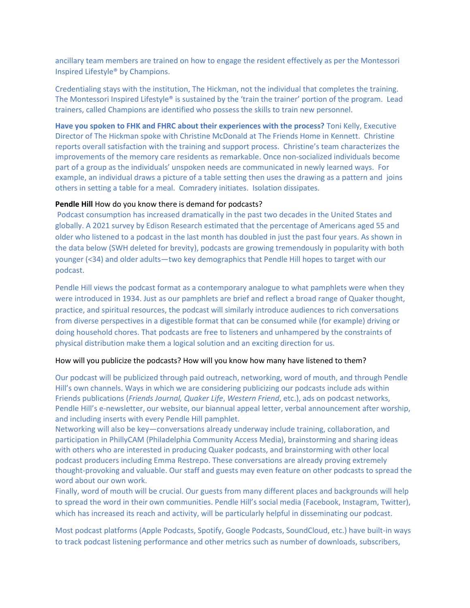ancillary team members are trained on how to engage the resident effectively as per the Montessori Inspired Lifestyle® by Champions.

Credentialing stays with the institution, The Hickman, not the individual that completes the training. The Montessori Inspired Lifestyle® is sustained by the 'train the trainer' portion of the program. Lead trainers, called Champions are identified who possess the skills to train new personnel.

**Have you spoken to FHK and FHRC about their experiences with the process?** Toni Kelly, Executive Director of The Hickman spoke with Christine McDonald at The Friends Home in Kennett. Christine reports overall satisfaction with the training and support process. Christine's team characterizes the improvements of the memory care residents as remarkable. Once non-socialized individuals become part of a group as the individuals' unspoken needs are communicated in newly learned ways. For example, an individual draws a picture of a table setting then uses the drawing as a pattern and joins others in setting a table for a meal. Comradery initiates. Isolation dissipates.

#### **Pendle Hill** How do you know there is demand for podcasts?

Podcast consumption has increased dramatically in the past two decades in the United States and globally. A 2021 survey by Edison Research estimated that the percentage of Americans aged 55 and older who listened to a podcast in the last month has doubled in just the past four years. As shown in the data below (SWH deleted for brevity), podcasts are growing tremendously in popularity with both younger (<34) and older adults—two key demographics that Pendle Hill hopes to target with our podcast.

Pendle Hill views the podcast format as a contemporary analogue to what pamphlets were when they were introduced in 1934. Just as our pamphlets are brief and reflect a broad range of Quaker thought, practice, and spiritual resources, the podcast will similarly introduce audiences to rich conversations from diverse perspectives in a digestible format that can be consumed while (for example) driving or doing household chores. That podcasts are free to listeners and unhampered by the constraints of physical distribution make them a logical solution and an exciting direction for us.

#### How will you publicize the podcasts? How will you know how many have listened to them?

Our podcast will be publicized through paid outreach, networking, word of mouth, and through Pendle Hill's own channels. Ways in which we are considering publicizing our podcasts include ads within Friends publications (*Friends Journal, Quaker Life*, *Western Friend*, etc.), ads on podcast networks, Pendle Hill's e-newsletter, our website, our biannual appeal letter, verbal announcement after worship, and including inserts with every Pendle Hill pamphlet.

Networking will also be key—conversations already underway include training, collaboration, and participation in PhillyCAM (Philadelphia Community Access Media), brainstorming and sharing ideas with others who are interested in producing Quaker podcasts, and brainstorming with other local podcast producers including Emma Restrepo. These conversations are already proving extremely thought-provoking and valuable. Our staff and guests may even feature on other podcasts to spread the word about our own work.

Finally, word of mouth will be crucial. Our guests from many different places and backgrounds will help to spread the word in their own communities. Pendle Hill's social media (Facebook, Instagram, Twitter), which has increased its reach and activity, will be particularly helpful in disseminating our podcast.

Most podcast platforms (Apple Podcasts, Spotify, Google Podcasts, SoundCloud, etc.) have built-in ways to track podcast listening performance and other metrics such as number of downloads, subscribers,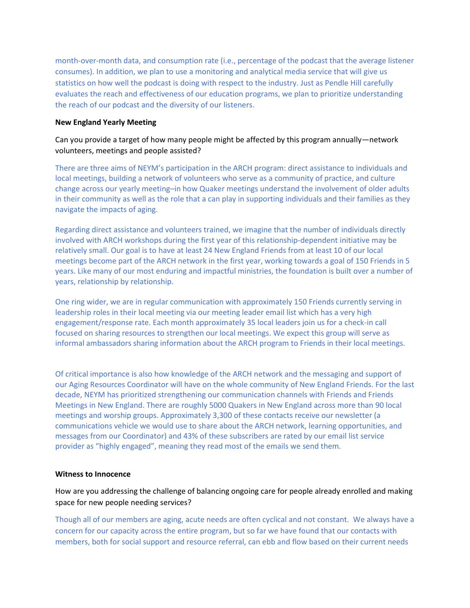month-over-month data, and consumption rate (i.e., percentage of the podcast that the average listener consumes). In addition, we plan to use a monitoring and analytical media service that will give us statistics on how well the podcast is doing with respect to the industry. Just as Pendle Hill carefully evaluates the reach and effectiveness of our education programs, we plan to prioritize understanding the reach of our podcast and the diversity of our listeners.

# **New England Yearly Meeting**

# Can you provide a target of how many people might be affected by this program annually—network volunteers, meetings and people assisted?

There are three aims of NEYM's participation in the ARCH program: direct assistance to individuals and local meetings, building a network of volunteers who serve as a community of practice, and culture change across our yearly meeting–in how Quaker meetings understand the involvement of older adults in their community as well as the role that a can play in supporting individuals and their families as they navigate the impacts of aging.

Regarding direct assistance and volunteers trained, we imagine that the number of individuals directly involved with ARCH workshops during the first year of this relationship-dependent initiative may be relatively small. Our goal is to have at least 24 New England Friends from at least 10 of our local meetings become part of the ARCH network in the first year, working towards a goal of 150 Friends in 5 years. Like many of our most enduring and impactful ministries, the foundation is built over a number of years, relationship by relationship.

One ring wider, we are in regular communication with approximately 150 Friends currently serving in leadership roles in their local meeting via our meeting leader email list which has a very high engagement/response rate. Each month approximately 35 local leaders join us for a check-in call focused on sharing resources to strengthen our local meetings. We expect this group will serve as informal ambassadors sharing information about the ARCH program to Friends in their local meetings.

Of critical importance is also how knowledge of the ARCH network and the messaging and support of our Aging Resources Coordinator will have on the whole community of New England Friends. For the last decade, NEYM has prioritized strengthening our communication channels with Friends and Friends Meetings in New England. There are roughly 5000 Quakers in New England across more than 90 local meetings and worship groups. Approximately 3,300 of these contacts receive our newsletter (a communications vehicle we would use to share about the ARCH network, learning opportunities, and messages from our Coordinator) and 43% of these subscribers are rated by our email list service provider as "highly engaged", meaning they read most of the emails we send them.

## **Witness to Innocence**

How are you addressing the challenge of balancing ongoing care for people already enrolled and making space for new people needing services?

Though all of our members are aging, acute needs are often cyclical and not constant. We always have a concern for our capacity across the entire program, but so far we have found that our contacts with members, both for social support and resource referral, can ebb and flow based on their current needs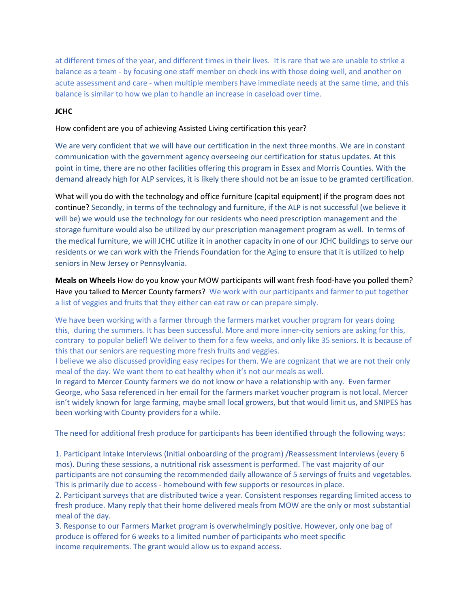at different times of the year, and different times in their lives. It is rare that we are unable to strike a balance as a team - by focusing one staff member on check ins with those doing well, and another on acute assessment and care - when multiple members have immediate needs at the same time, and this balance is similar to how we plan to handle an increase in caseload over time.

# **JCHC**

# How confident are you of achieving Assisted Living certification this year?

We are very confident that we will have our certification in the next three months. We are in constant communication with the government agency overseeing our certification for status updates. At this point in time, there are no other facilities offering this program in Essex and Morris Counties. With the demand already high for ALP services, it is likely there should not be an issue to be gramted certification.

What will you do with the technology and office furniture (capital equipment) if the program does not continue? Secondly, in terms of the technology and furniture, if the ALP is not successful (we believe it will be) we would use the technology for our residents who need prescription management and the storage furniture would also be utilized by our prescription management program as well. In terms of the medical furniture, we will JCHC utilize it in another capacity in one of our JCHC buildings to serve our residents or we can work with the Friends Foundation for the Aging to ensure that it is utilized to help seniors in New Jersey or Pennsylvania.

**Meals on Wheels** How do you know your MOW participants will want fresh food-have you polled them? Have you talked to Mercer County farmers? We work with our participants and farmer to put together a list of veggies and fruits that they either can eat raw or can prepare simply.

We have been working with a farmer through the farmers market voucher program for years doing this, during the summers. It has been successful. More and more inner-city seniors are asking for this, contrary to popular belief! We deliver to them for a few weeks, and only like 35 seniors. It is because of this that our seniors are requesting more fresh fruits and veggies.

I believe we also discussed providing easy recipes for them. We are cognizant that we are not their only meal of the day. We want them to eat healthy when it's not our meals as well.

In regard to Mercer County farmers we do not know or have a relationship with any. Even farmer George, who Sasa referenced in her email for the farmers market voucher program is not local. Mercer isn't widely known for large farming, maybe small local growers, but that would limit us, and SNIPES has been working with County providers for a while.

The need for additional fresh produce for participants has been identified through the following ways:

1. Participant Intake Interviews (Initial onboarding of the program) /Reassessment Interviews (every 6 mos). During these sessions, a nutritional risk assessment is performed. The vast majority of our participants are not consuming the recommended daily allowance of 5 servings of fruits and vegetables. This is primarily due to access - homebound with few supports or resources in place.

2. Participant surveys that are distributed twice a year. Consistent responses regarding limited access to fresh produce. Many reply that their home delivered meals from MOW are the only or most substantial meal of the day.

3. Response to our Farmers Market program is overwhelmingly positive. However, only one bag of produce is offered for 6 weeks to a limited number of participants who meet specific income requirements. The grant would allow us to expand access.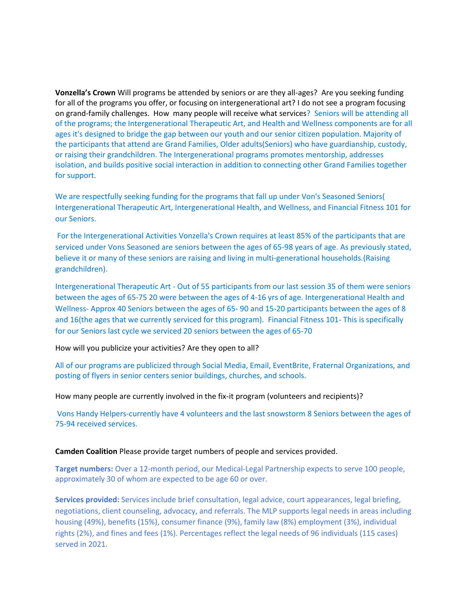**Vonzella's Crown** Will programs be attended by seniors or are they all-ages? Are you seeking funding for all of the programs you offer, or focusing on intergenerational art? I do not see a program focusing on grand-family challenges. How many people will receive what services? Seniors will be attending all of the programs; the Intergenerational Therapeutic Art, and Health and Wellness components are for all ages it's designed to bridge the gap between our youth and our senior citizen population. Majority of the participants that attend are Grand Families, Older adults(Seniors) who have guardianship, custody, or raising their grandchildren. The Intergenerational programs promotes mentorship, addresses isolation, and builds positive social interaction in addition to connecting other Grand Families together for support.

We are respectfully seeking funding for the programs that fall up under Von's Seasoned Seniors( Intergenerational Therapeutic Art, Intergenerational Health, and Wellness, and Financial Fitness 101 for our Seniors.

For the Intergenerational Activities Vonzella's Crown requires at least 85% of the participants that are serviced under Vons Seasoned are seniors between the ages of 65-98 years of age. As previously stated, believe it or many of these seniors are raising and living in multi-generational households.(Raising grandchildren).

Intergenerational Therapeutic Art - Out of 55 participants from our last session 35 of them were seniors between the ages of 65-75 20 were between the ages of 4-16 yrs of age. Intergenerational Health and Wellness- Approx 40 Seniors between the ages of 65- 90 and 15-20 participants between the ages of 8 and 16(the ages that we currently serviced for this program). Financial Fitness 101- This is specifically for our Seniors last cycle we serviced 20 seniors between the ages of 65-70

How will you publicize your activities? Are they open to all?

All of our programs are publicized through Social Media, Email, EventBrite, Fraternal Organizations, and posting of flyers in senior centers senior buildings, churches, and schools.

How many people are currently involved in the fix-it program (volunteers and recipients)?

Vons Handy Helpers-currently have 4 volunteers and the last snowstorm 8 Seniors between the ages of 75-94 received services.

#### **Camden Coalition** Please provide target numbers of people and services provided.

**Target numbers:** Over a 12-month period, our Medical-Legal Partnership expects to serve 100 people, approximately 30 of whom are expected to be age 60 or over.

**Services provided:** Services include brief consultation, legal advice, court appearances, legal briefing, negotiations, client counseling, advocacy, and referrals. The MLP supports legal needs in areas including housing (49%), benefits (15%), consumer finance (9%), family law (8%) employment (3%), individual rights (2%), and fines and fees (1%). Percentages reflect the legal needs of 96 individuals (115 cases) served in 2021.